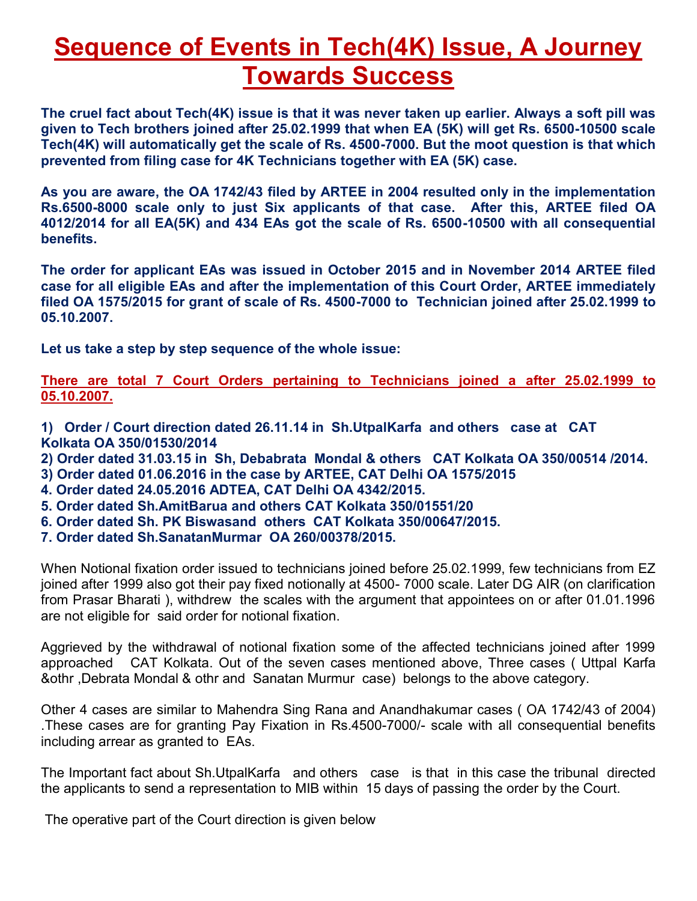# **Sequence of Events in Tech(4K) Issue, A Journey Towards Success**

**The cruel fact about Tech(4K) issue is that it was never taken up earlier. Always a soft pill was given to Tech brothers joined after 25.02.1999 that when EA (5K) will get Rs. 6500-10500 scale Tech(4K) will automatically get the scale of Rs. 4500-7000. But the moot question is that which prevented from filing case for 4K Technicians together with EA (5K) case.** 

**As you are aware, the OA 1742/43 filed by ARTEE in 2004 resulted only in the implementation Rs.6500-8000 scale only to just Six applicants of that case. After this, ARTEE filed OA 4012/2014 for all EA(5K) and 434 EAs got the scale of Rs. 6500-10500 with all consequential benefits.** 

**The order for applicant EAs was issued in October 2015 and in November 2014 ARTEE filed case for all eligible EAs and after the implementation of this Court Order, ARTEE immediately filed OA 1575/2015 for grant of scale of Rs. 4500-7000 to Technician joined after 25.02.1999 to 05.10.2007.** 

**Let us take a step by step sequence of the whole issue:** 

**There are total 7 Court Orders pertaining to Technicians joined a after 25.02.1999 to 05.10.2007.** 

- **1) Order / Court direction dated 26.11.14 in Sh.UtpalKarfa and others case at CAT Kolkata OA 350/01530/2014**
- **2) Order dated 31.03.15 in Sh, Debabrata Mondal & others CAT Kolkata OA 350/00514 /2014.**
- **3) Order dated 01.06.2016 in the case by ARTEE, CAT Delhi OA 1575/2015**
- **4. Order dated 24.05.2016 ADTEA, CAT Delhi OA 4342/2015.**
- **5. Order dated Sh.AmitBarua and others CAT Kolkata 350/01551/20**
- **6. Order dated Sh. PK Biswasand others CAT Kolkata 350/00647/2015.**
- **7. Order dated Sh.SanatanMurmar OA 260/00378/2015.**

When Notional fixation order issued to technicians joined before 25.02.1999, few technicians from EZ joined after 1999 also got their pay fixed notionally at 4500- 7000 scale. Later DG AIR (on clarification from Prasar Bharati ), withdrew the scales with the argument that appointees on or after 01.01.1996 are not eligible for said order for notional fixation.

Aggrieved by the withdrawal of notional fixation some of the affected technicians joined after 1999 approached CAT Kolkata. Out of the seven cases mentioned above, Three cases ( Uttpal Karfa &othr ,Debrata Mondal & othr and Sanatan Murmur case) belongs to the above category.

Other 4 cases are similar to Mahendra Sing Rana and Anandhakumar cases ( OA 1742/43 of 2004) .These cases are for granting Pay Fixation in Rs.4500-7000/- scale with all consequential benefits including arrear as granted to EAs.

The Important fact about Sh.UtpalKarfa and others case is that in this case the tribunal directed the applicants to send a representation to MIB within 15 days of passing the order by the Court.

The operative part of the Court direction is given below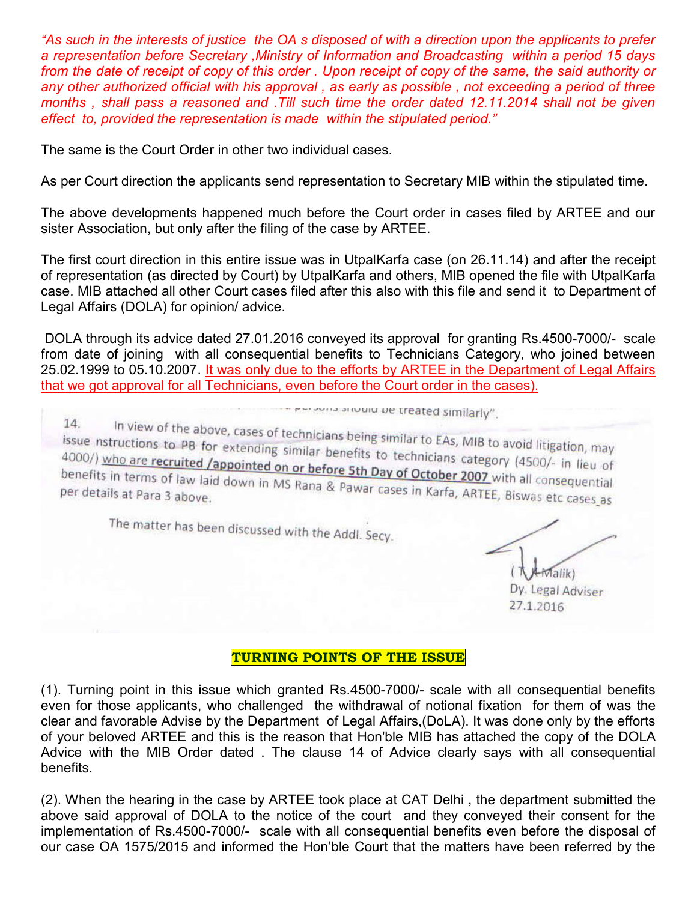*"As such in the interests of justice the OA s disposed of with a direction upon the applicants to prefer a representation before Secretary ,Ministry of Information and Broadcasting within a period 15 days from the date of receipt of copy of this order . Upon receipt of copy of the same, the said authority or any other authorized official with his approval , as early as possible , not exceeding a period of three months , shall pass a reasoned and .Till such time the order dated 12.11.2014 shall not be given effect to, provided the representation is made within the stipulated period."*

The same is the Court Order in other two individual cases.

As per Court direction the applicants send representation to Secretary MIB within the stipulated time.

The above developments happened much before the Court order in cases filed by ARTEE and our sister Association, but only after the filing of the case by ARTEE.

The first court direction in this entire issue was in UtpalKarfa case (on 26.11.14) and after the receipt of representation (as directed by Court) by UtpalKarfa and others, MIB opened the file with UtpalKarfa case. MIB attached all other Court cases filed after this also with this file and send it to Department of Legal Affairs (DOLA) for opinion/ advice.

 DOLA through its advice dated 27.01.2016 conveyed its approval for granting Rs.4500-7000/- scale from date of joining with all consequential benefits to Technicians Category, who joined between 25.02.1999 to 05.10.2007. It was only due to the efforts by ARTEE in the Department of Legal Affairs that we got approval for all Technicians, even before the Court order in the cases).

- Presents anound be treated similarly".

In view of the above, cases of technicians being similar to EAs, MIB to avoid litigation, may<br>tructions to PB for extending similar benefits to technicians est. 14. issue nstructions to PB for extending similar being similar to EAs, MIB to avoid litigation, may<br>4000/) who are recruited /appointed on or before 5th Day of October 2007 (4500/- in lieu of 4000/) who are recruited /appointed on or before 5th Day of October 2007 with all consequential<br>benefits in terms of law laid down in MS Rana & Pawar cases in Karfa ABTCE prior all consequential benefits in terms of law laid down in MS Rana & Pawar cases in Karfa, ARTEE, Biswas etc cases as<br>per details at Para 3 above.

The matter has been discussed with the Addl. Secy.

 $M$ alik) Dy. Legal Adviser

27.1.2016

#### **TURNING POINTS OF THE ISSUE**

(1). Turning point in this issue which granted Rs.4500-7000/- scale with all consequential benefits even for those applicants, who challenged the withdrawal of notional fixation for them of was the clear and favorable Advise by the Department of Legal Affairs,(DoLA). It was done only by the efforts of your beloved ARTEE and this is the reason that Hon'ble MIB has attached the copy of the DOLA Advice with the MIB Order dated . The clause 14 of Advice clearly says with all consequential benefits.

(2). When the hearing in the case by ARTEE took place at CAT Delhi , the department submitted the above said approval of DOLA to the notice of the court and they conveyed their consent for the implementation of Rs.4500-7000/- scale with all consequential benefits even before the disposal of our case OA 1575/2015 and informed the Hon'ble Court that the matters have been referred by the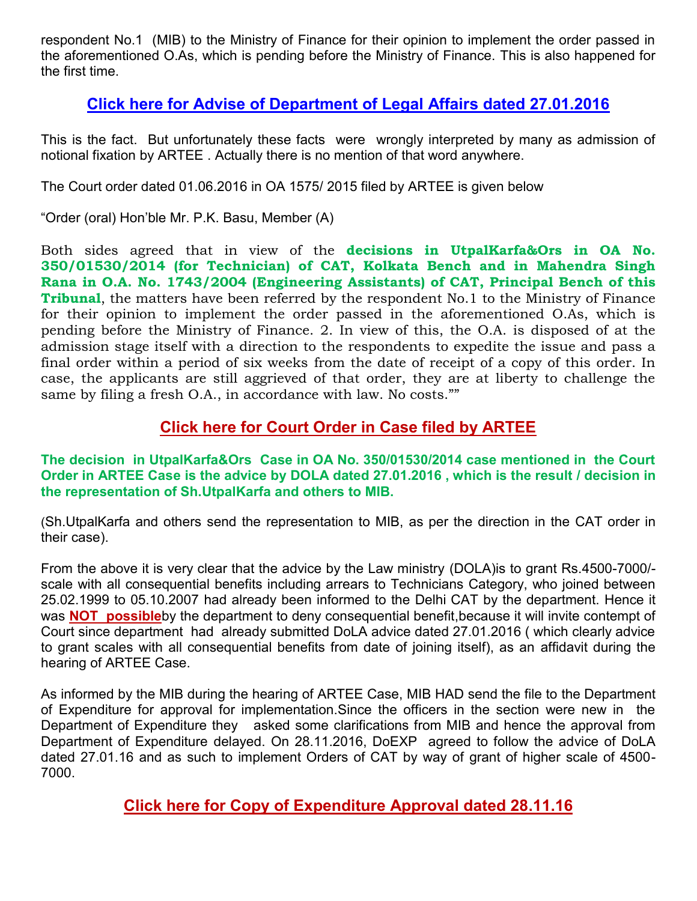respondent No.1 (MIB) to the Ministry of Finance for their opinion to implement the order passed in the aforementioned O.As, which is pending before the Ministry of Finance. This is also happened for the first time.

## **[Click here for Advise of Department of Legal Affairs dated 27.01.2016](http://arteeindia.org/central/2017/DOLA_Advise_Tech4K_270116.pdf)**

This is the fact. But unfortunately these facts were wrongly interpreted by many as admission of notional fixation by ARTEE . Actually there is no mention of that word anywhere.

The Court order dated 01.06.2016 in OA 1575/ 2015 filed by ARTEE is given below

"Order (oral) Hon'ble Mr. P.K. Basu, Member (A)

Both sides agreed that in view of the **decisions in UtpalKarfa&Ors in OA No. 350/01530/2014 (for Technician) of CAT, Kolkata Bench and in Mahendra Singh Rana in O.A. No. 1743/2004 (Engineering Assistants) of CAT, Principal Bench of this Tribunal**, the matters have been referred by the respondent No.1 to the Ministry of Finance for their opinion to implement the order passed in the aforementioned O.As, which is pending before the Ministry of Finance. 2. In view of this, the O.A. is disposed of at the admission stage itself with a direction to the respondents to expedite the issue and pass a final order within a period of six weeks from the date of receipt of a copy of this order. In case, the applicants are still aggrieved of that order, they are at liberty to challenge the same by filing a fresh O.A., in accordance with law. No costs.""

#### **[Click here for Court Order in Case filed by ARTEE](http://arteeindia.org/central/2017/OA_1575_2015.pdf)**

**The decision in UtpalKarfa&Ors Case in OA No. 350/01530/2014 case mentioned in the Court Order in ARTEE Case is the advice by DOLA dated 27.01.2016 , which is the result / decision in the representation of Sh.UtpalKarfa and others to MIB.**

(Sh.UtpalKarfa and others send the representation to MIB, as per the direction in the CAT order in their case).

From the above it is very clear that the advice by the Law ministry (DOLA)is to grant Rs.4500-7000/ scale with all consequential benefits including arrears to Technicians Category, who joined between 25.02.1999 to 05.10.2007 had already been informed to the Delhi CAT by the department. Hence it was **NOT possible**by the department to deny consequential benefit,because it will invite contempt of Court since department had already submitted DoLA advice dated 27.01.2016 ( which clearly advice to grant scales with all consequential benefits from date of joining itself), as an affidavit during the hearing of ARTEE Case.

As informed by the MIB during the hearing of ARTEE Case, MIB HAD send the file to the Department of Expenditure for approval for implementation.Since the officers in the section were new in the Department of Expenditure they asked some clarifications from MIB and hence the approval from Department of Expenditure delayed. On 28.11.2016, DoEXP agreed to follow the advice of DoLA dated 27.01.16 and as such to implement Orders of CAT by way of grant of higher scale of 4500- 7000.

## **[Click here for Copy of Expenditure Approval dated 28.11.16](http://arteeindia.org/central/2017/DoEXP_Approval_dated_28116_Tech_4K.pdf)**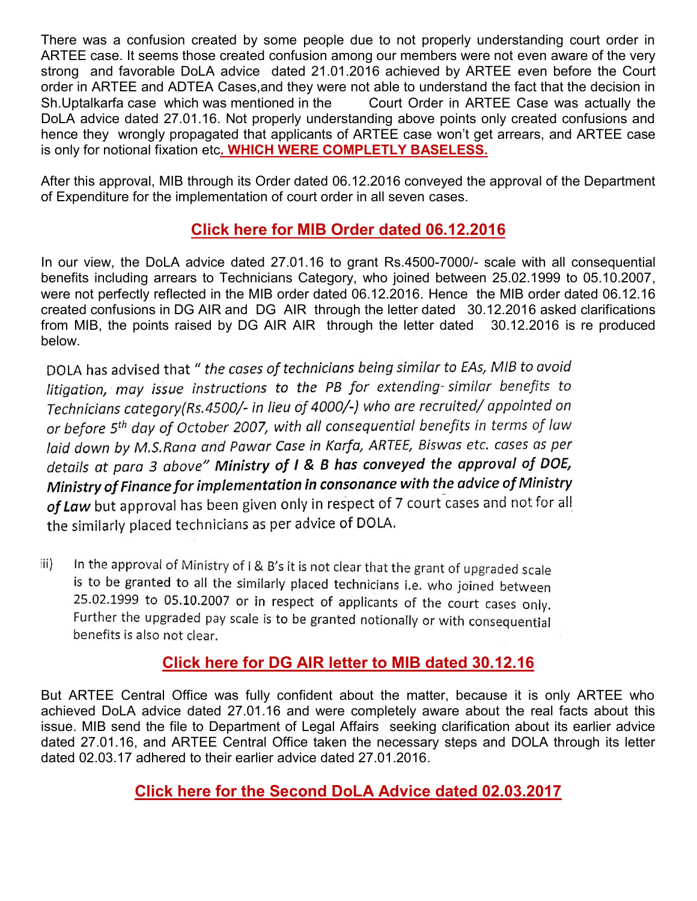There was a confusion created by some people due to not properly understanding court order in ARTEE case. It seems those created confusion among our members were not even aware of the very strong and favorable DoLA advice dated 21.01.2016 achieved by ARTEE even before the Court order in ARTEE and ADTEA Cases,and they were not able to understand the fact that the decision in Sh.Uptalkarfa case which was mentioned in the Court Order in ARTEE Case was actually the DoLA advice dated 27.01.16. Not properly understanding above points only created confusions and hence they wrongly propagated that applicants of ARTEE case won't get arrears, and ARTEE case is only for notional fixation etc**. WHICH WERE COMPLETLY BASELESS.** 

After this approval, MIB through its Order dated 06.12.2016 conveyed the approval of the Department of Expenditure for the implementation of court order in all seven cases.

## **[Click here for MIB Order dated 06.12.2016](http://arteeindia.org/central/2017/MIB_Order_Tech_4K_061216.pdf)**

In our view, the DoLA advice dated 27.01.16 to grant Rs.4500-7000/- scale with all consequential benefits including arrears to Technicians Category, who joined between 25.02.1999 to 05.10.2007, were not perfectly reflected in the MIB order dated 06.12.2016. Hence the MIB order dated 06.12.16 created confusions in DG AIR and DG AIR through the letter dated 30.12.2016 asked clarifications from MIB, the points raised by DG AIR AIR through the letter dated 30.12.2016 is re produced below.

DOLA has advised that " the cases of technicians being similar to EAs, MIB to avoid litigation, may issue instructions to the PB for extending-similar benefits to Technicians category(Rs.4500/- in lieu of 4000/-) who are recruited/ appointed on or before 5<sup>th</sup> day of October 2007, with all consequential benefits in terms of law laid down by M.S.Rana and Pawar Case in Karfa, ARTEE, Biswas etc. cases as per details at para 3 above" Ministry of I & B has conveyed the approval of DOE, Ministry of Finance for implementation in consonance with the advice of Ministry of Law but approval has been given only in respect of 7 court cases and not for all the similarly placed technicians as per advice of DOLA.

In the approval of Ministry of I & B's it is not clear that the grant of upgraded scale  $\mathsf{ii}$ is to be granted to all the similarly placed technicians i.e. who joined between 25.02.1999 to 05.10.2007 or in respect of applicants of the court cases only. Further the upgraded pay scale is to be granted notionally or with consequential benefits is also not clear.

## **[Click here for DG AIR letter to MIB dated 30.12.16](http://arteeindia.org/central/2017/DG_AIR_Letter_to_MIB_dated_301216.pdf)**

But ARTEE Central Office was fully confident about the matter, because it is only ARTEE who achieved DoLA advice dated 27.01.16 and were completely aware about the real facts about this issue. MIB send the file to Department of Legal Affairs seeking clarification about its earlier advice dated 27.01.16, and ARTEE Central Office taken the necessary steps and DOLA through its letter dated 02.03.17 adhered to their earlier advice dated 27.01.2016.

## **[Click here for the Second DoLA Advice dated 02.03.2017](http://arteeindia.org/central/2017/DOLA_Advise_Tech4K_020316.pdf)**